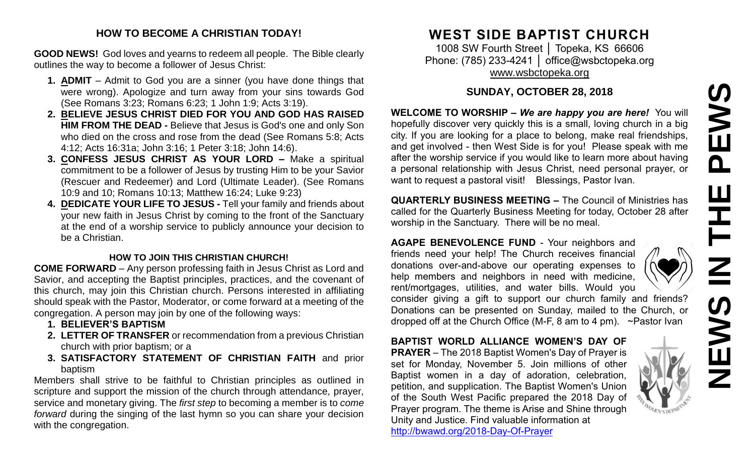# **NEWS IN THE PEWS**PEWS  $\mathbf{H}$  $\mathbf{Z}$ <u>(၇</u> M<br>N<br>N<br>N

#### **HOW TO BECOME A CHRISTIAN TODAY!**

**GOOD NEWS!** God loves and yearns to redeem all people. The Bible clearly outlines the way to become a follower of Jesus Christ:

- **1. ADMIT** Admit to God you are a sinner (you have done things that were wrong). Apologize and turn away from your sins towards God (See Romans 3:23; Romans 6:23; 1 John 1:9; Acts 3:19).
- **2. BELIEVE JESUS CHRIST DIED FOR YOU AND GOD HAS RAISED HIM FROM THE DEAD -** Believe that Jesus is God's one and only Son who died on the cross and rose from the dead (See Romans 5:8; Acts 4:12; Acts 16:31a; John 3:16; 1 Peter 3:18; John 14:6).
- **3. CONFESS JESUS CHRIST AS YOUR LORD –** Make a spiritual commitment to be a follower of Jesus by trusting Him to be your Savior (Rescuer and Redeemer) and Lord (Ultimate Leader). (See Romans 10:9 and 10; Romans 10:13; Matthew 16:24; Luke 9:23)
- **4. DEDICATE YOUR LIFE TO JESUS -** Tell your family and friends about your new faith in Jesus Christ by coming to the front of the Sanctuary at the end of a worship service to publicly announce your decision to be a Christian.

#### **HOW TO JOIN THIS CHRISTIAN CHURCH!**

**COME FORWARD** – Any person professing faith in Jesus Christ as Lord and Savior, and accepting the Baptist principles, practices, and the covenant of this church, may join this Christian church. Persons interested in affiliating should speak with the Pastor, Moderator, or come forward at a meeting of the congregation. A person may join by one of the following ways:

- **1. BELIEVER'S BAPTISM**
- **2. LETTER OF TRANSFER** or recommendation from a previous Christian church with prior baptism; or a
- **3. SATISFACTORY STATEMENT OF CHRISTIAN FAITH** and prior baptism

Members shall strive to be faithful to Christian principles as outlined in scripture and support the mission of the church through attendance, prayer, service and monetary giving. The *first step* to becoming a member is to *come forward* during the singing of the last hymn so you can share your decision with the congregation.

# **WEST SIDE BAPTIST CHURCH**

1008 SW Fourth Street │ Topeka, KS 66606 Phone: (785) 233-4241 │ [office@wsbctopeka.org](mailto:office@wsbctopeka.org) [www.wsbctopeka.org](http://www.wsbctopeka.org/)

# **SUNDAY, OCTOBER 28, 2018**

**WELCOME TO WORSHIP –** *We are happy you are here!* You will hopefully discover very quickly this is a small, loving church in a big city. If you are looking for a place to belong, make real friendships, and get involved - then West Side is for you! Please speak with me after the worship service if you would like to learn more about having a personal relationship with Jesus Christ, need personal prayer, or want to request a pastoral visit! Blessings, Pastor Ivan.

**QUARTERLY BUSINESS MEETING –** The Council of Ministries has called for the Quarterly Business Meeting for today, October 28 after worship in the Sanctuary. There will be no meal.

**AGAPE BENEVOLENCE FUND** - Your neighbors and friends need your help! The Church receives financial donations over-and-above our operating expenses to help members and neighbors in need with medicine, rent/mortgages, utilities, and water bills. Would you

consider giving a gift to support our church family and friends? Donations can be presented on Sunday, mailed to the Church, or dropped off at the Church Office (M-F, 8 am to 4 pm). ~Pastor Ivan

# **BAPTIST WORLD ALLIANCE WOMEN'S DAY OF**

**PRAYER** – The 2018 Baptist Women's Day of Prayer is set for Monday, November 5. Join millions of other Baptist women in a day of adoration, celebration, petition, and supplication. The Baptist Women's Union of the South West Pacific prepared the 2018 Day of Prayer program. The theme is Arise and Shine through Unity and Justice. Find valuable information at <http://bwawd.org/2018-Day-Of-Prayer>



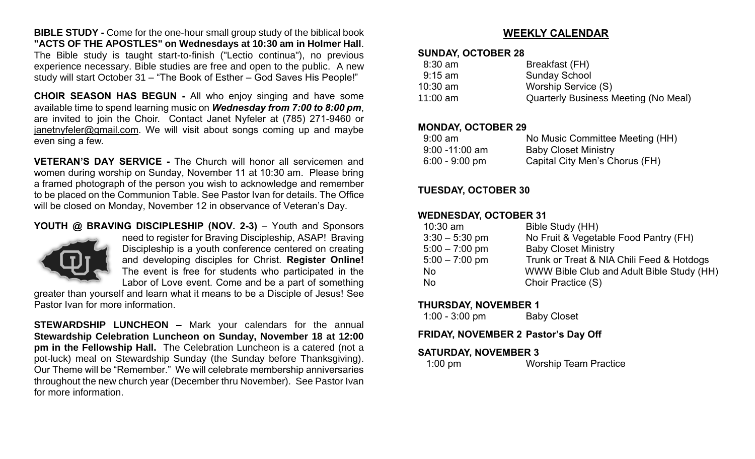**BIBLE STUDY -** Come for the one-hour small group study of the biblical book **"ACTS OF THE APOSTLES" on Wednesdays at 10:30 am in Holmer Hall**. The Bible study is taught start-to-finish ("Lectio continua"), no previous experience necessary. Bible studies are free and open to the public. A new study will start October 31 – "The Book of Esther – God Saves His People!"

**CHOIR SEASON HAS BEGUN -** All who enjoy singing and have some available time to spend learning music on *Wednesday from 7:00 to 8:00 pm*, are invited to join the Choir. Contact Janet Nyfeler at (785) 271-9460 or [janetnyfeler@gmail.com.](mailto:janetnyfeler@gmail.com) We will visit about songs coming up and maybe even sing a few.

**VETERAN'S DAY SERVICE -** The Church will honor all servicemen and women during worship on Sunday, November 11 at 10:30 am. Please bring a framed photograph of the person you wish to acknowledge and remember to be placed on the Communion Table. See Pastor Ivan for details. The Office will be closed on Monday, November 12 in observance of Veteran's Day.

#### **YOUTH @ BRAVING DISCIPLESHIP (NOV. 2-3)** – Youth and Sponsors



need to register for Braving Discipleship, ASAP! Braving Discipleship is a youth conference centered on creating and developing disciples for Christ. **Register Online!** The event is free for students who participated in the Labor of Love event. Come and be a part of something

greater than yourself and learn what it means to be a Disciple of Jesus! See Pastor Ivan for more information.

**STEWARDSHIP LUNCHEON –** Mark your calendars for the annual **Stewardship Celebration Luncheon on Sunday, November 18 at 12:00 pm in the Fellowship Hall.** The Celebration Luncheon is a catered (not a pot-luck) meal on Stewardship Sunday (the Sunday before Thanksgiving). Our Theme will be "Remember." We will celebrate membership anniversaries throughout the new church year (December thru November). See Pastor Ivan for more information.

#### **WEEKLY CALENDAR**

#### **SUNDAY, OCTOBER 28**

| $8:30$ am  | Breakfast (FH)                              |
|------------|---------------------------------------------|
| $9:15$ am  | <b>Sunday School</b>                        |
| $10:30$ am | Worship Service (S)                         |
| 11:00 am   | <b>Quarterly Business Meeting (No Meal)</b> |

#### **MONDAY, OCTOBER 29**

| $9:00 \text{ am}$ | No Music Committee Meeting (HH) |
|-------------------|---------------------------------|
| $9:00 - 11:00$ am | <b>Baby Closet Ministry</b>     |
| $6:00 - 9:00$ pm  | Capital City Men's Chorus (FH)  |

#### **TUESDAY, OCTOBER 30**

#### **WEDNESDAY, OCTOBER 31**

| $10:30$ am       | Bible Study (HH)                          |
|------------------|-------------------------------------------|
| $3:30 - 5:30$ pm | No Fruit & Vegetable Food Pantry (FH)     |
| $5:00 - 7:00$ pm | <b>Baby Closet Ministry</b>               |
| $5:00 - 7:00$ pm | Trunk or Treat & NIA Chili Feed & Hotdogs |
| <b>No</b>        | WWW Bible Club and Adult Bible Study (HH) |
| No               | Choir Practice (S)                        |
|                  |                                           |

#### **THURSDAY, NOVEMBER 1**

| $1:00 - 3:00$ pm | <b>Baby Closet</b> |
|------------------|--------------------|
|------------------|--------------------|

#### **FRIDAY, NOVEMBER 2 Pastor's Day Off**

#### **SATURDAY, NOVEMBER 3**

| $1:00$ pm | <b>Worship Team Practice</b> |
|-----------|------------------------------|
|           |                              |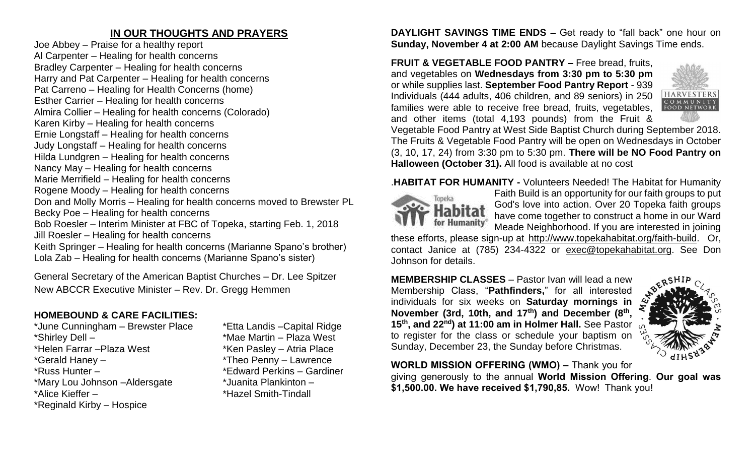## **IN OUR THOUGHTS AND PRAYERS**

Joe Abbey – Praise for a healthy report Al Carpenter – Healing for health concerns Bradley Carpenter – Healing for health concerns Harry and Pat Carpenter – Healing for health concerns Pat Carreno – Healing for Health Concerns (home) Esther Carrier – Healing for health concerns Almira Collier – Healing for health concerns (Colorado) Karen Kirby – Healing for health concerns Ernie Longstaff – Healing for health concerns Judy Longstaff – Healing for health concerns Hilda Lundgren – Healing for health concerns Nancy May – Healing for health concerns Marie Merrifield – Healing for health concerns Rogene Moody – Healing for health concerns Don and Molly Morris – Healing for health concerns moved to Brewster PL Becky Poe – Healing for health concerns Bob Roesler – Interim Minister at FBC of Topeka, starting Feb. 1, 2018 Jill Roesler – Healing for health concerns Keith Springer – Healing for health concerns (Marianne Spano's brother) Lola Zab – Healing for health concerns (Marianne Spano's sister)

General Secretary of the American Baptist Churches – Dr. Lee Spitzer New ABCCR Executive Minister – Rev. Dr. Gregg Hemmen

# **HOMEBOUND & CARE FACILITIES:**

\*June Cunningham – Brewster Place \*Etta Landis –Capital Ridge \*Shirley Dell – \*Mae Martin – Plaza West \*Helen Farrar – Plaza West \*Ken Pasley – Atria Place \*Gerald Haney – \*Theo Penny – Lawrence \*Russ Hunter – \*Edward Perkins – Gardiner \*Mary Lou Johnson –Aldersgate \*Juanita Plankinton – \*Alice Kieffer – \*Hazel Smith-Tindall \*Reginald Kirby – Hospice

**DAYLIGHT SAVINGS TIME ENDS –** Get ready to "fall back" one hour on **Sunday, November 4 at 2:00 AM** because Daylight Savings Time ends.

**FRUIT & VEGETABLE FOOD PANTRY –** Free bread, fruits, and vegetables on **Wednesdays from 3:30 pm to 5:30 pm**  or while supplies last. **September Food Pantry Report** - 939 Individuals (444 adults, 406 children, and 89 seniors) in 250 families were able to receive free bread, fruits, vegetables, and other items (total 4,193 pounds) from the Fruit &



Vegetable Food Pantry at West Side Baptist Church during September 2018. The Fruits & Vegetable Food Pantry will be open on Wednesdays in October (3, 10, 17, 24) from 3:30 pm to 5:30 pm. **There will be NO Food Pantry on Halloween (October 31).** All food is available at no cost

.**HABITAT FOR HUMANITY -** Volunteers Needed! The Habitat for Humanity



Faith Build is an opportunity for our faith groups to put God's love into action. Over 20 Topeka faith groups have come together to construct a home in our Ward Meade Neighborhood. If you are interested in joining

these efforts, please sign-up at [http://www.topekahabitat.org/faith-build.](http://www.topekahabitat.org/faith-build) Or, contact Janice at (785) 234-4322 or [exec@topekahabitat.org.](mailto:exec@topekahabitat.org) See Don Johnson for details.

**MEMBERSHIP CLASSES** – Pastor Ivan will lead a new Membership Class, "**Pathfinders,**" for all interested individuals for six weeks on **Saturday mornings in November (3rd, 10th, and 17th) and December (8th , 15th, and 22nd) at 11:00 am in Holmer Hall.** See Pastor to register for the class or schedule your baptism on Sunday, December 23, the Sunday before Christmas.



**WORLD MISSION OFFERING (WMO) –** Thank you for giving generously to the annual **World Mission Offering**. **Our goal was \$1,500.00. We have received \$1,790,85.** Wow! Thank you!